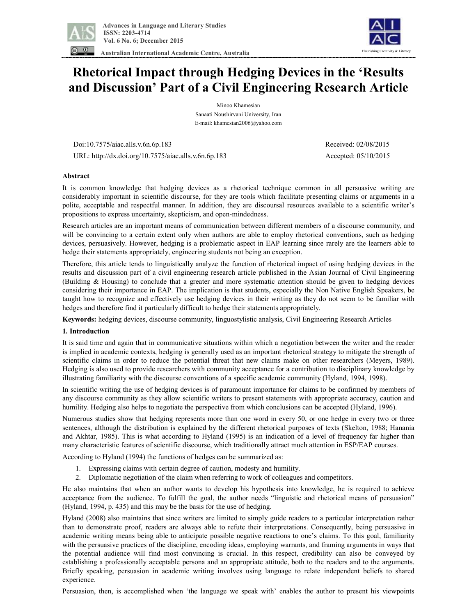

 **Australian International Academic Centre, Australia** 



# **Rhetorical Impact through Hedging Devices in the 'Results and Discussion' Part of a Civil Engineering Research Article**

Minoo Khamesian Sanaati Noushirvani University, Iran E-mail: khamesian2006@yahoo.com

Doi:10.7575/aiac.alls.v.6n.6p.183 Received: 02/08/2015

URL: http://dx.doi.org/10.7575/aiac.alls.v.6n.6p.183 Accepted: 05/10/2015

## **Abstract**

It is common knowledge that hedging devices as a rhetorical technique common in all persuasive writing are considerably important in scientific discourse, for they are tools which facilitate presenting claims or arguments in a polite, acceptable and respectful manner. In addition, they are discoursal resources available to a scientific writer's propositions to express uncertainty, skepticism, and open-mindedness.

Research articles are an important means of communication between different members of a discourse community, and will be convincing to a certain extent only when authors are able to employ rhetorical conventions, such as hedging devices, persuasively. However, hedging is a problematic aspect in EAP learning since rarely are the learners able to hedge their statements appropriately, engineering students not being an exception.

Therefore, this article tends to linguistically analyze the function of rhetorical impact of using hedging devices in the results and discussion part of a civil engineering research article published in the Asian Journal of Civil Engineering (Building & Housing) to conclude that a greater and more systematic attention should be given to hedging devices considering their importance in EAP. The implication is that students, especially the Non Native English Speakers, be taught how to recognize and effectively use hedging devices in their writing as they do not seem to be familiar with hedges and therefore find it particularly difficult to hedge their statements appropriately.

**Keywords:** hedging devices, discourse community, linguostylistic analysis, Civil Engineering Research Articles

## **1. Introduction**

It is said time and again that in communicative situations within which a negotiation between the writer and the reader is implied in academic contexts, hedging is generally used as an important rhetorical strategy to mitigate the strength of scientific claims in order to reduce the potential threat that new claims make on other researchers (Meyers, 1989). Hedging is also used to provide researchers with community acceptance for a contribution to disciplinary knowledge by illustrating familiarity with the discourse conventions of a specific academic community (Hyland, 1994, 1998).

In scientific writing the use of hedging devices is of paramount importance for claims to be confirmed by members of any discourse community as they allow scientific writers to present statements with appropriate accuracy, caution and humility. Hedging also helps to negotiate the perspective from which conclusions can be accepted (Hyland, 1996).

Numerous studies show that hedging represents more than one word in every 50, or one hedge in every two or three sentences, although the distribution is explained by the different rhetorical purposes of texts (Skelton, 1988; Hanania and Akhtar, 1985). This is what according to Hyland (1995) is an indication of a level of frequency far higher than many characteristic features of scientific discourse, which traditionally attract much attention in ESP/EAP courses.

According to Hyland (1994) the functions of hedges can be summarized as:

- 1. Expressing claims with certain degree of caution, modesty and humility.
- 2. Diplomatic negotiation of the claim when referring to work of colleagues and competitors.

He also maintains that when an author wants to develop his hypothesis into knowledge, he is required to achieve acceptance from the audience. To fulfill the goal, the author needs "linguistic and rhetorical means of persuasion" (Hyland, 1994, p. 435) and this may be the basis for the use of hedging.

Hyland (2008) also maintains that since writers are limited to simply guide readers to a particular interpretation rather than to demonstrate proof, readers are always able to refute their interpretations. Consequently, being persuasive in academic writing means being able to anticipate possible negative reactions to one's claims. To this goal, familiarity with the persuasive practices of the discipline, encoding ideas, employing warrants, and framing arguments in ways that the potential audience will find most convincing is crucial. In this respect, credibility can also be conveyed by establishing a professionally acceptable persona and an appropriate attitude, both to the readers and to the arguments. Briefly speaking, persuasion in academic writing involves using language to relate independent beliefs to shared experience.

Persuasion, then, is accomplished when 'the language we speak with' enables the author to present his viewpoints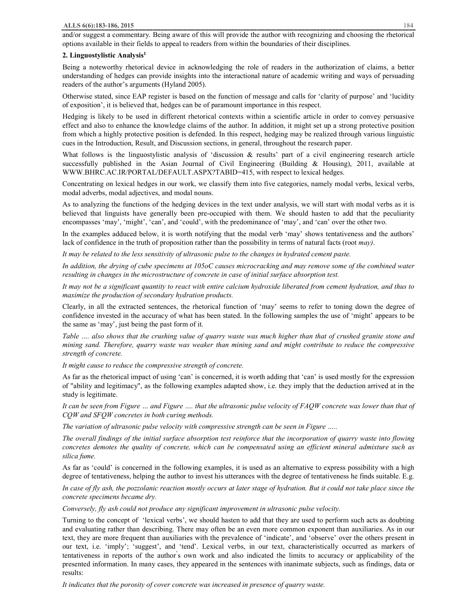and/or suggest a commentary. Being aware of this will provide the author with recognizing and choosing the rhetorical options available in their fields to appeal to readers from within the boundaries of their disciplines.

## **2. Linguostylistic Analysis<sup>1</sup>**

Being a noteworthy rhetorical device in acknowledging the role of readers in the authorization of claims, a better understanding of hedges can provide insights into the interactional nature of academic writing and ways of persuading readers of the author's arguments (Hyland 2005).

Otherwise stated, since EAP register is based on the function of message and calls for 'clarity of purpose' and 'lucidity of exposition', it is believed that, hedges can be of paramount importance in this respect.

Hedging is likely to be used in different rhetorical contexts within a scientific article in order to convey persuasive effect and also to enhance the knowledge claims of the author. In addition, it might set up a strong protective position from which a highly protective position is defended. In this respect, hedging may be realized through various linguistic cues in the Introduction, Result, and Discussion sections, in general, throughout the research paper.

What follows is the linguostylistic analysis of 'discussion  $\&$  results' part of a civil engineering research article successfully published in the Asian Journal of Civil Engineering (Building & Housing), 2011, available at WWW.BHRC.AC.IR/PORTAL/DEFAULT.ASPX?TABID=415, with respect to lexical hedges.

Concentrating on lexical hedges in our work, we classify them into five categories, namely modal verbs, lexical verbs, modal adverbs, modal adjectives, and modal nouns.

As to analyzing the functions of the hedging devices in the text under analysis, we will start with modal verbs as it is believed that linguists have generally been pre-occupied with them. We should hasten to add that the peculiarity encompasses 'may', 'might', 'can', and 'could', with the predominance of 'may', and 'can' over the other two.

In the examples adduced below, it is worth notifying that the modal verb 'may' shows tentativeness and the authors' lack of confidence in the truth of proposition rather than the possibility in terms of natural facts (root *may)*.

*It may be related to the less sensitivity of ultrasonic pulse to the changes in hydrated cement paste.* 

In addition, the drying of cube specimens at 105oC causes microcracking and may remove some of the combined water *resulting in changes in the microstructure of concrete in case of initial surface absorption test.* 

It may not be a significant quantity to react with entire calcium hydroxide liberated from cement hydration, and thus to *maximize the production of secondary hydration products.* 

Clearly, in all the extracted sentences, the rhetorical function of 'may' seems to refer to toning down the degree of confidence invested in the accuracy of what has been stated. In the following samples the use of 'might' appears to be the same as 'may', just being the past form of it.

Table .... also shows that the crushing value of quarry waste was much higher than that of crushed granite stone and mining sand. Therefore, quarry waste was weaker than mining sand and might contribute to reduce the compressive *strength of concrete.* 

*It might cause to reduce the compressive strength of concrete.* 

As far as the rhetorical impact of using 'can' is concerned, it is worth adding that 'can' is used mostly for the expression of "ability and legitimacy", as the following examples adapted show, i.e. they imply that the deduction arrived at in the study is legitimate.

It can be seen from Figure ... and Figure .... that the ultrasonic pulse velocity of FAQW concrete was lower than that of *CQW and SFQW concretes in both curing methods.* 

*The variation of ultrasonic pulse velocity with compressive strength can be seen in Figure …..* 

The overall findings of the initial surface absorption test reinforce that the incorporation of quarry waste into flowing concretes demotes the quality of concrete, which can be compensated using an efficient mineral admixture such as *silica fume.* 

As far as 'could' is concerned in the following examples, it is used as an alternative to express possibility with a high degree of tentativeness, helping the author to invest his utterances with the degree of tentativeness he finds suitable. E.g.

In case of fly ash, the pozzolanic reaction mostly occurs at later stage of hydration. But it could not take place since the *concrete specimens became dry.* 

*Conversely, fly ash could not produce any significant improvement in ultrasonic pulse velocity.* 

Turning to the concept of 'lexical verbs', we should hasten to add that they are used to perform such acts as doubting and evaluating rather than describing. There may often be an even more common exponent than auxiliaries. As in our text, they are more frequent than auxiliaries with the prevalence of 'indicate', and 'observe' over the others present in our text, i.e. 'imply'; 'suggest', and 'tend'. Lexical verbs, in our text, characteristically occurred as markers of tentativeness in reports of the author *s* own work and also indicated the limits to accuracy or applicability of the presented information. In many cases, they appeared in the sentences with inanimate subjects, such as findings, data or results:

*It indicates that the porosity of cover concrete was increased in presence of quarry waste.*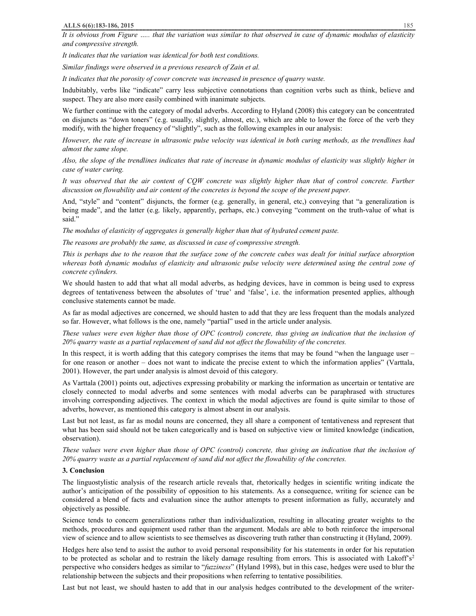It is obvious from Figure ..... that the variation was similar to that observed in case of dynamic modulus of elasticity *and compressive strength.* 

*It indicates that the variation was identical for both test conditions.* 

*Similar findings were observed in a previous research of Zain et al.* 

*It indicates that the porosity of cover concrete was increased in presence of quarry waste.* 

Indubitably, verbs like "indicate" carry less subjective connotations than cognition verbs such as think, believe and suspect. They are also more easily combined with inanimate subjects.

We further continue with the category of modal adverbs. According to Hyland (2008) this category can be concentrated on disjuncts as "down toners" (e.g. usually, slightly, almost, etc.), which are able to lower the force of the verb they modify, with the higher frequency of "slightly", such as the following examples in our analysis:

However, the rate of increase in ultrasonic pulse velocity was identical in both curing methods, as the trendlines had *almost the same slope.* 

Also, the slope of the trendlines indicates that rate of increase in dynamic modulus of elasticity was slightly higher in *case of water curing.* 

It was observed that the air content of CQW concrete was slightly higher than that of control concrete. Further *discussion on flowability and air content of the concretes is beyond the scope of the present paper.* 

And, "style" and "content" disjuncts, the former (e.g. generally, in general, etc,) conveying that "a generalization is being made", and the latter (e.g. likely, apparently, perhaps, etc.) conveying "comment on the truth-value of what is said."

*The modulus of elasticity of aggregates is generally higher than that of hydrated cement paste.* 

*The reasons are probably the same, as discussed in case of compressive strength.* 

This is perhaps due to the reason that the surface zone of the concrete cubes was dealt for initial surface absorption whereas both dynamic modulus of elasticity and ultrasonic pulse velocity were determined using the central zone of *concrete cylinders.* 

We should hasten to add that what all modal adverbs, as hedging devices, have in common is being used to express degrees of tentativeness between the absolutes of 'true' and 'false', i.e. the information presented applies, although conclusive statements cannot be made.

As far as modal adjectives are concerned, we should hasten to add that they are less frequent than the modals analyzed so far. However, what follows is the one, namely "partial" used in the article under analysis.

These values were even higher than those of OPC (control) concrete, thus giving an indication that the inclusion of *20% quarry waste as a partial replacement of sand did not affect the flowability of the concretes.* 

In this respect, it is worth adding that this category comprises the items that may be found "when the language user  $$ for one reason or another – does not want to indicate the precise extent to which the information applies" (Varttala, 2001). However, the part under analysis is almost devoid of this category.

As Varttala (2001) points out, adjectives expressing probability or marking the information as uncertain or tentative are closely connected to modal adverbs and some sentences with modal adverbs can be paraphrased with structures involving corresponding adjectives. The context in which the modal adjectives are found is quite similar to those of adverbs, however, as mentioned this category is almost absent in our analysis.

Last but not least, as far as modal nouns are concerned, they all share a component of tentativeness and represent that what has been said should not be taken categorically and is based on subjective view or limited knowledge (indication, observation).

These values were even higher than those of OPC (control) concrete, thus giving an indication that the inclusion of *20% quarry waste as a partial replacement of sand did not affect the flowability of the concretes.* 

## **3. Conclusion**

The linguostylistic analysis of the research article reveals that, rhetorically hedges in scientific writing indicate the author's anticipation of the possibility of opposition to his statements. As a consequence, writing for science can be considered a blend of facts and evaluation since the author attempts to present information as fully, accurately and objectively as possible.

Science tends to concern generalizations rather than individualization, resulting in allocating greater weights to the methods, procedures and equipment used rather than the argument. Modals are able to both reinforce the impersonal view of science and to allow scientists to see themselves as discovering truth rather than constructing it (Hyland, 2009).

Hedges here also tend to assist the author to avoid personal responsibility for his statements in order for his reputation to be protected as scholar and to restrain the likely damage resulting from errors. This is associated with Lakoff's<sup>2</sup> perspective who considers hedges as similar to "*fuzziness*" (Hyland 1998), but in this case, hedges were used to blur the relationship between the subjects and their propositions when referring to tentative possibilities.

Last but not least, we should hasten to add that in our analysis hedges contributed to the development of the writer-